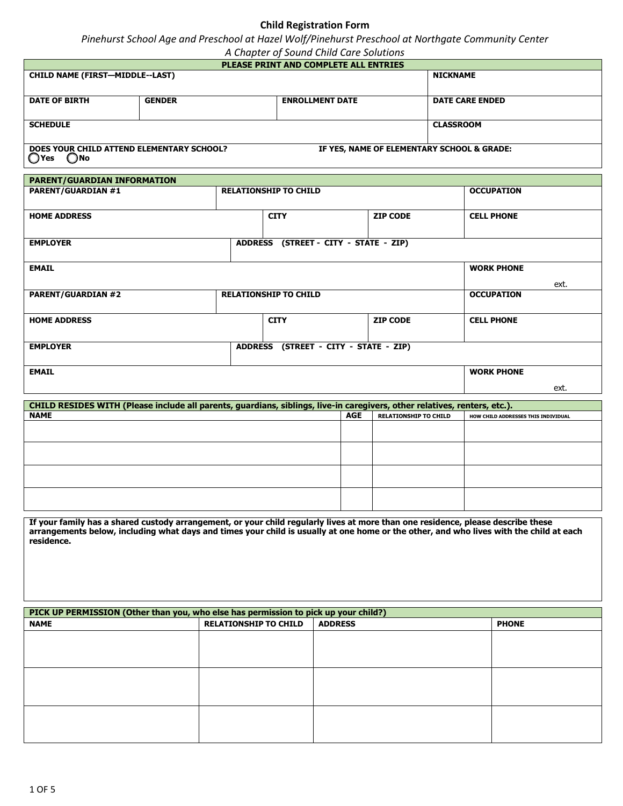## **Child Registration Form**

*Pinehurst School Age and Preschool at Hazel Wolf/Pinehurst Preschool at Northgate Community Center*

|  |  |  | A Chapter of Sound Child Care Solutions |
|--|--|--|-----------------------------------------|
|--|--|--|-----------------------------------------|

| <b>PLEASE PRINT AND COMPLETE ALL ENTRIES</b>                  |                        |                                            |                  |  |  |
|---------------------------------------------------------------|------------------------|--------------------------------------------|------------------|--|--|
| <b>CHILD NAME (FIRST-MIDDLE--LAST)</b>                        |                        |                                            | <b>NICKNAME</b>  |  |  |
|                                                               |                        |                                            |                  |  |  |
| <b>DATE OF BIRTH</b>                                          | <b>DATE CARE ENDED</b> |                                            |                  |  |  |
|                                                               |                        |                                            |                  |  |  |
| <b>SCHEDULE</b>                                               |                        |                                            | <b>CLASSROOM</b> |  |  |
|                                                               |                        |                                            |                  |  |  |
| DOES YOUR CHILD ATTEND ELEMENTARY SCHOOL?<br>$\sim$<br>$\sim$ |                        | IF YES, NAME OF ELEMENTARY SCHOOL & GRADE: |                  |  |  |

**O'Yes** ONo

**PARENT/GUARDIAN INFORMATION PARENT/GUARDIAN #1 RELATIONSHIP TO CHILD OCCUPATION OCCUPATION HOME ADDRESS CITY ZIP CODE CELL PHONE EMPLOYER ADDRESS** (STREET - CITY - STATE - ZIP) **EMAIL WORK PHONE PARENT/GUARDIAN #2 RELATIONSHIP TO CHILD OCCUPATION HOME ADDRESS CITY ZIP CODE CELL PHONE EMPLOYER ADDRESS (STREET - CITY - STATE - ZIP) EMAIL WORK PHONE** ext. ext.

| CHILD RESIDES WITH (Please include all parents, guardians, siblings, live-in caregivers, other relatives, renters, etc.). |            |                              |                                     |
|---------------------------------------------------------------------------------------------------------------------------|------------|------------------------------|-------------------------------------|
| <b>NAME</b>                                                                                                               | <b>AGE</b> | <b>RELATIONSHIP TO CHILD</b> | HOW CHILD ADDRESSES THIS INDIVIDUAL |
|                                                                                                                           |            |                              |                                     |
|                                                                                                                           |            |                              |                                     |
|                                                                                                                           |            |                              |                                     |
|                                                                                                                           |            |                              |                                     |
|                                                                                                                           |            |                              |                                     |
|                                                                                                                           |            |                              |                                     |
|                                                                                                                           |            |                              |                                     |
|                                                                                                                           |            |                              |                                     |

**If your family has a shared custody arrangement, or your child regularly lives at more than one residence, please describe these arrangements below, including what days and times your child is usually at one home or the other, and who lives with the child at each residence.**

| PICK UP PERMISSION (Other than you, who else has permission to pick up your child?) |                              |                |              |  |
|-------------------------------------------------------------------------------------|------------------------------|----------------|--------------|--|
| <b>NAME</b>                                                                         | <b>RELATIONSHIP TO CHILD</b> | <b>ADDRESS</b> | <b>PHONE</b> |  |
|                                                                                     |                              |                |              |  |
|                                                                                     |                              |                |              |  |
|                                                                                     |                              |                |              |  |
|                                                                                     |                              |                |              |  |
|                                                                                     |                              |                |              |  |
|                                                                                     |                              |                |              |  |
|                                                                                     |                              |                |              |  |
|                                                                                     |                              |                |              |  |
|                                                                                     |                              |                |              |  |
|                                                                                     |                              |                |              |  |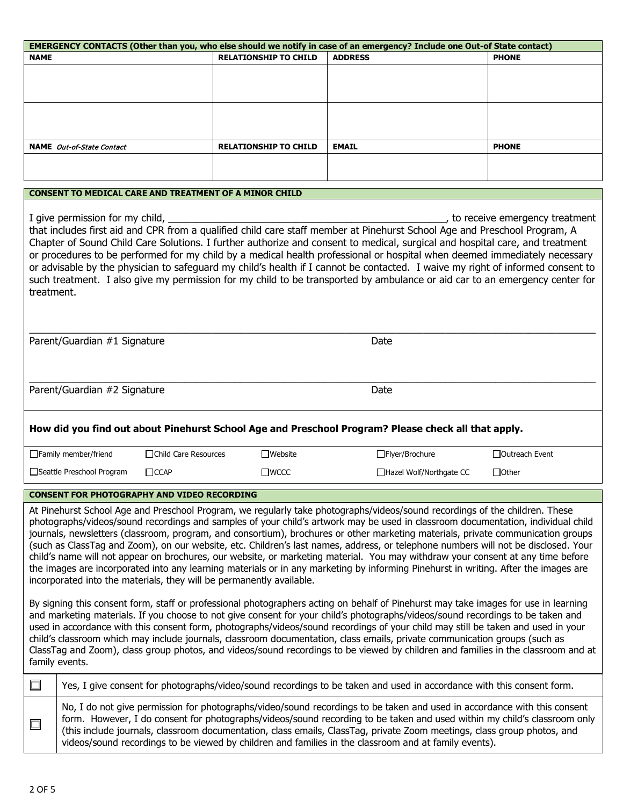| EMERGENCY CONTACTS (Other than you, who else should we notify in case of an emergency? Include one Out-of State contact)                                                                                                                                                                                                                                                                                                                                                                                                                                                                                                                                                                                                                                                                                                                                                                                                                                                                                                                                                                                                                                                                                                                                                                                                                                                                                                                                                                                                                                                                       |                                                                                                                                                                                                                                                                                                                                                                                                                                                                                          |                       |                                                               |                                                                                                                                                                                                                                                                                                                                                                                                                                                                                                                                                                                                                                                         |                                |
|------------------------------------------------------------------------------------------------------------------------------------------------------------------------------------------------------------------------------------------------------------------------------------------------------------------------------------------------------------------------------------------------------------------------------------------------------------------------------------------------------------------------------------------------------------------------------------------------------------------------------------------------------------------------------------------------------------------------------------------------------------------------------------------------------------------------------------------------------------------------------------------------------------------------------------------------------------------------------------------------------------------------------------------------------------------------------------------------------------------------------------------------------------------------------------------------------------------------------------------------------------------------------------------------------------------------------------------------------------------------------------------------------------------------------------------------------------------------------------------------------------------------------------------------------------------------------------------------|------------------------------------------------------------------------------------------------------------------------------------------------------------------------------------------------------------------------------------------------------------------------------------------------------------------------------------------------------------------------------------------------------------------------------------------------------------------------------------------|-----------------------|---------------------------------------------------------------|---------------------------------------------------------------------------------------------------------------------------------------------------------------------------------------------------------------------------------------------------------------------------------------------------------------------------------------------------------------------------------------------------------------------------------------------------------------------------------------------------------------------------------------------------------------------------------------------------------------------------------------------------------|--------------------------------|
| <b>NAME</b>                                                                                                                                                                                                                                                                                                                                                                                                                                                                                                                                                                                                                                                                                                                                                                                                                                                                                                                                                                                                                                                                                                                                                                                                                                                                                                                                                                                                                                                                                                                                                                                    |                                                                                                                                                                                                                                                                                                                                                                                                                                                                                          |                       | <b>RELATIONSHIP TO CHILD</b>                                  | <b>ADDRESS</b>                                                                                                                                                                                                                                                                                                                                                                                                                                                                                                                                                                                                                                          | <b>PHONE</b>                   |
|                                                                                                                                                                                                                                                                                                                                                                                                                                                                                                                                                                                                                                                                                                                                                                                                                                                                                                                                                                                                                                                                                                                                                                                                                                                                                                                                                                                                                                                                                                                                                                                                |                                                                                                                                                                                                                                                                                                                                                                                                                                                                                          |                       |                                                               |                                                                                                                                                                                                                                                                                                                                                                                                                                                                                                                                                                                                                                                         |                                |
|                                                                                                                                                                                                                                                                                                                                                                                                                                                                                                                                                                                                                                                                                                                                                                                                                                                                                                                                                                                                                                                                                                                                                                                                                                                                                                                                                                                                                                                                                                                                                                                                |                                                                                                                                                                                                                                                                                                                                                                                                                                                                                          |                       |                                                               |                                                                                                                                                                                                                                                                                                                                                                                                                                                                                                                                                                                                                                                         |                                |
|                                                                                                                                                                                                                                                                                                                                                                                                                                                                                                                                                                                                                                                                                                                                                                                                                                                                                                                                                                                                                                                                                                                                                                                                                                                                                                                                                                                                                                                                                                                                                                                                | <b>NAME</b> Out-of-State Contact                                                                                                                                                                                                                                                                                                                                                                                                                                                         |                       | <b>RELATIONSHIP TO CHILD</b>                                  | <b>EMAIL</b>                                                                                                                                                                                                                                                                                                                                                                                                                                                                                                                                                                                                                                            | <b>PHONE</b>                   |
|                                                                                                                                                                                                                                                                                                                                                                                                                                                                                                                                                                                                                                                                                                                                                                                                                                                                                                                                                                                                                                                                                                                                                                                                                                                                                                                                                                                                                                                                                                                                                                                                |                                                                                                                                                                                                                                                                                                                                                                                                                                                                                          |                       |                                                               |                                                                                                                                                                                                                                                                                                                                                                                                                                                                                                                                                                                                                                                         |                                |
|                                                                                                                                                                                                                                                                                                                                                                                                                                                                                                                                                                                                                                                                                                                                                                                                                                                                                                                                                                                                                                                                                                                                                                                                                                                                                                                                                                                                                                                                                                                                                                                                |                                                                                                                                                                                                                                                                                                                                                                                                                                                                                          |                       | <b>CONSENT TO MEDICAL CARE AND TREATMENT OF A MINOR CHILD</b> |                                                                                                                                                                                                                                                                                                                                                                                                                                                                                                                                                                                                                                                         |                                |
| treatment.                                                                                                                                                                                                                                                                                                                                                                                                                                                                                                                                                                                                                                                                                                                                                                                                                                                                                                                                                                                                                                                                                                                                                                                                                                                                                                                                                                                                                                                                                                                                                                                     | I give permission for my child, ______                                                                                                                                                                                                                                                                                                                                                                                                                                                   |                       |                                                               | that includes first aid and CPR from a qualified child care staff member at Pinehurst School Age and Preschool Program, A<br>Chapter of Sound Child Care Solutions. I further authorize and consent to medical, surgical and hospital care, and treatment<br>or procedures to be performed for my child by a medical health professional or hospital when deemed immediately necessary<br>or advisable by the physician to safeguard my child's health if I cannot be contacted. I waive my right of informed consent to<br>such treatment. I also give my permission for my child to be transported by ambulance or aid car to an emergency center for | to receive emergency treatment |
|                                                                                                                                                                                                                                                                                                                                                                                                                                                                                                                                                                                                                                                                                                                                                                                                                                                                                                                                                                                                                                                                                                                                                                                                                                                                                                                                                                                                                                                                                                                                                                                                | Parent/Guardian #1 Signature                                                                                                                                                                                                                                                                                                                                                                                                                                                             |                       |                                                               | Date                                                                                                                                                                                                                                                                                                                                                                                                                                                                                                                                                                                                                                                    |                                |
|                                                                                                                                                                                                                                                                                                                                                                                                                                                                                                                                                                                                                                                                                                                                                                                                                                                                                                                                                                                                                                                                                                                                                                                                                                                                                                                                                                                                                                                                                                                                                                                                | Parent/Guardian #2 Signature                                                                                                                                                                                                                                                                                                                                                                                                                                                             |                       |                                                               | Date                                                                                                                                                                                                                                                                                                                                                                                                                                                                                                                                                                                                                                                    |                                |
|                                                                                                                                                                                                                                                                                                                                                                                                                                                                                                                                                                                                                                                                                                                                                                                                                                                                                                                                                                                                                                                                                                                                                                                                                                                                                                                                                                                                                                                                                                                                                                                                |                                                                                                                                                                                                                                                                                                                                                                                                                                                                                          |                       |                                                               | How did you find out about Pinehurst School Age and Preschool Program? Please check all that apply.                                                                                                                                                                                                                                                                                                                                                                                                                                                                                                                                                     |                                |
|                                                                                                                                                                                                                                                                                                                                                                                                                                                                                                                                                                                                                                                                                                                                                                                                                                                                                                                                                                                                                                                                                                                                                                                                                                                                                                                                                                                                                                                                                                                                                                                                | $\Box$ Family member/friend                                                                                                                                                                                                                                                                                                                                                                                                                                                              | □Child Care Resources | $\Box$ Website                                                | □ Flyer/Brochure                                                                                                                                                                                                                                                                                                                                                                                                                                                                                                                                                                                                                                        | □Outreach Event                |
|                                                                                                                                                                                                                                                                                                                                                                                                                                                                                                                                                                                                                                                                                                                                                                                                                                                                                                                                                                                                                                                                                                                                                                                                                                                                                                                                                                                                                                                                                                                                                                                                | □Seattle Preschool Program                                                                                                                                                                                                                                                                                                                                                                                                                                                               | $\Box$ CCAP           | $\square$ WCCC                                                | □Hazel Wolf/Northgate CC                                                                                                                                                                                                                                                                                                                                                                                                                                                                                                                                                                                                                                | $\Box$ Other                   |
|                                                                                                                                                                                                                                                                                                                                                                                                                                                                                                                                                                                                                                                                                                                                                                                                                                                                                                                                                                                                                                                                                                                                                                                                                                                                                                                                                                                                                                                                                                                                                                                                | <b>CONSENT FOR PHOTOGRAPHY AND VIDEO RECORDING</b>                                                                                                                                                                                                                                                                                                                                                                                                                                       |                       |                                                               |                                                                                                                                                                                                                                                                                                                                                                                                                                                                                                                                                                                                                                                         |                                |
| At Pinehurst School Age and Preschool Program, we regularly take photographs/videos/sound recordings of the children. These<br>photographs/videos/sound recordings and samples of your child's artwork may be used in classroom documentation, individual child<br>journals, newsletters (classroom, program, and consortium), brochures or other marketing materials, private communication groups<br>(such as ClassTag and Zoom), on our website, etc. Children's last names, address, or telephone numbers will not be disclosed. Your<br>child's name will not appear on brochures, our website, or marketing material. You may withdraw your consent at any time before<br>the images are incorporated into any learning materials or in any marketing by informing Pinehurst in writing. After the images are<br>incorporated into the materials, they will be permanently available.<br>By signing this consent form, staff or professional photographers acting on behalf of Pinehurst may take images for use in learning<br>and marketing materials. If you choose to not give consent for your child's photographs/videos/sound recordings to be taken and<br>used in accordance with this consent form, photographs/videos/sound recordings of your child may still be taken and used in your<br>child's classroom which may include journals, classroom documentation, class emails, private communication groups (such as<br>ClassTag and Zoom), class group photos, and videos/sound recordings to be viewed by children and families in the classroom and at<br>family events. |                                                                                                                                                                                                                                                                                                                                                                                                                                                                                          |                       |                                                               |                                                                                                                                                                                                                                                                                                                                                                                                                                                                                                                                                                                                                                                         |                                |
| $\Box$                                                                                                                                                                                                                                                                                                                                                                                                                                                                                                                                                                                                                                                                                                                                                                                                                                                                                                                                                                                                                                                                                                                                                                                                                                                                                                                                                                                                                                                                                                                                                                                         | Yes, I give consent for photographs/video/sound recordings to be taken and used in accordance with this consent form.                                                                                                                                                                                                                                                                                                                                                                    |                       |                                                               |                                                                                                                                                                                                                                                                                                                                                                                                                                                                                                                                                                                                                                                         |                                |
| $\Box$                                                                                                                                                                                                                                                                                                                                                                                                                                                                                                                                                                                                                                                                                                                                                                                                                                                                                                                                                                                                                                                                                                                                                                                                                                                                                                                                                                                                                                                                                                                                                                                         | No, I do not give permission for photographs/video/sound recordings to be taken and used in accordance with this consent<br>form. However, I do consent for photographs/videos/sound recording to be taken and used within my child's classroom only<br>(this include journals, classroom documentation, class emails, ClassTag, private Zoom meetings, class group photos, and<br>videos/sound recordings to be viewed by children and families in the classroom and at family events). |                       |                                                               |                                                                                                                                                                                                                                                                                                                                                                                                                                                                                                                                                                                                                                                         |                                |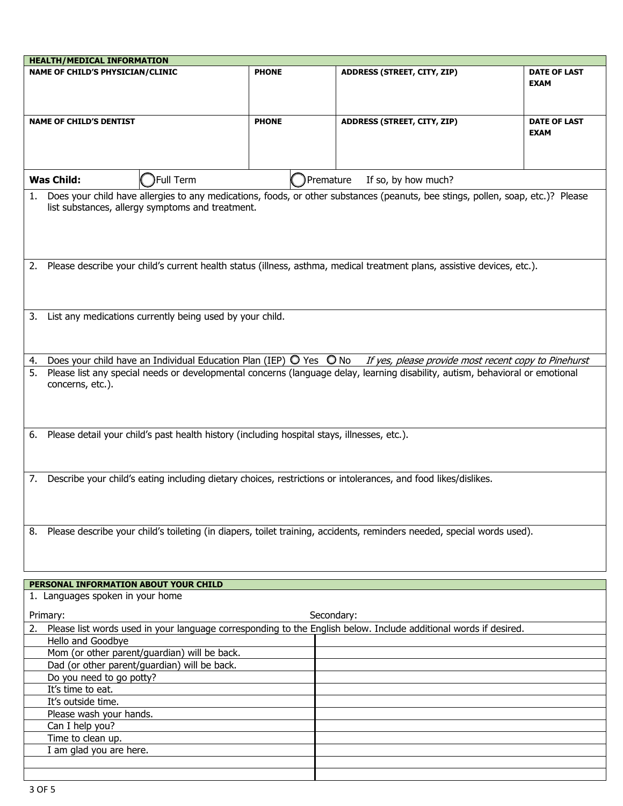| <b>HEALTH/MEDICAL INFORMATION</b>                                                                                         |           |              |                                                                                                                                 |                                                      |  |
|---------------------------------------------------------------------------------------------------------------------------|-----------|--------------|---------------------------------------------------------------------------------------------------------------------------------|------------------------------------------------------|--|
| <b>NAME OF CHILD'S PHYSICIAN/CLINIC</b>                                                                                   |           | <b>PHONE</b> | ADDRESS (STREET, CITY, ZIP)                                                                                                     | <b>DATE OF LAST</b>                                  |  |
|                                                                                                                           |           |              |                                                                                                                                 | <b>EXAM</b>                                          |  |
|                                                                                                                           |           |              |                                                                                                                                 |                                                      |  |
|                                                                                                                           |           |              |                                                                                                                                 |                                                      |  |
| <b>NAME OF CHILD'S DENTIST</b>                                                                                            |           | <b>PHONE</b> | ADDRESS (STREET, CITY, ZIP)                                                                                                     | <b>DATE OF LAST</b>                                  |  |
|                                                                                                                           |           |              |                                                                                                                                 | <b>EXAM</b>                                          |  |
|                                                                                                                           |           |              |                                                                                                                                 |                                                      |  |
|                                                                                                                           |           |              |                                                                                                                                 |                                                      |  |
| <b>Was Child:</b>                                                                                                         | Full Term |              | Premature<br>If so, by how much?                                                                                                |                                                      |  |
|                                                                                                                           |           |              | Does your child have allergies to any medications, foods, or other substances (peanuts, bee stings, pollen, soap, etc.)? Please |                                                      |  |
| 1.<br>list substances, allergy symptoms and treatment.                                                                    |           |              |                                                                                                                                 |                                                      |  |
|                                                                                                                           |           |              |                                                                                                                                 |                                                      |  |
|                                                                                                                           |           |              |                                                                                                                                 |                                                      |  |
|                                                                                                                           |           |              |                                                                                                                                 |                                                      |  |
|                                                                                                                           |           |              |                                                                                                                                 |                                                      |  |
|                                                                                                                           |           |              | 2. Please describe your child's current health status (illness, asthma, medical treatment plans, assistive devices, etc.).      |                                                      |  |
|                                                                                                                           |           |              |                                                                                                                                 |                                                      |  |
|                                                                                                                           |           |              |                                                                                                                                 |                                                      |  |
|                                                                                                                           |           |              |                                                                                                                                 |                                                      |  |
| List any medications currently being used by your child.<br>3.                                                            |           |              |                                                                                                                                 |                                                      |  |
|                                                                                                                           |           |              |                                                                                                                                 |                                                      |  |
|                                                                                                                           |           |              |                                                                                                                                 |                                                      |  |
| Does your child have an Individual Education Plan (IEP) $\bigcirc$ Yes $\bigcirc$ No<br>4.                                |           |              |                                                                                                                                 | If yes, please provide most recent copy to Pinehurst |  |
| 5.                                                                                                                        |           |              | Please list any special needs or developmental concerns (language delay, learning disability, autism, behavioral or emotional   |                                                      |  |
| concerns, etc.).                                                                                                          |           |              |                                                                                                                                 |                                                      |  |
|                                                                                                                           |           |              |                                                                                                                                 |                                                      |  |
|                                                                                                                           |           |              |                                                                                                                                 |                                                      |  |
|                                                                                                                           |           |              |                                                                                                                                 |                                                      |  |
| Please detail your child's past health history (including hospital stays, illnesses, etc.).<br>6.                         |           |              |                                                                                                                                 |                                                      |  |
|                                                                                                                           |           |              |                                                                                                                                 |                                                      |  |
|                                                                                                                           |           |              |                                                                                                                                 |                                                      |  |
|                                                                                                                           |           |              | 7. Describe your child's eating including dietary choices, restrictions or intolerances, and food likes/dislikes.               |                                                      |  |
|                                                                                                                           |           |              |                                                                                                                                 |                                                      |  |
|                                                                                                                           |           |              |                                                                                                                                 |                                                      |  |
|                                                                                                                           |           |              |                                                                                                                                 |                                                      |  |
| 8. Please describe your child's toileting (in diapers, toilet training, accidents, reminders needed, special words used). |           |              |                                                                                                                                 |                                                      |  |
|                                                                                                                           |           |              |                                                                                                                                 |                                                      |  |
|                                                                                                                           |           |              |                                                                                                                                 |                                                      |  |
|                                                                                                                           |           |              |                                                                                                                                 |                                                      |  |
| PERSONAL INFORMATION ABOUT YOUR CHILD                                                                                     |           |              |                                                                                                                                 |                                                      |  |
| 1. Languages spoken in your home                                                                                          |           |              |                                                                                                                                 |                                                      |  |
|                                                                                                                           |           |              |                                                                                                                                 |                                                      |  |
| Primary:                                                                                                                  |           |              | Secondary:                                                                                                                      |                                                      |  |
| Hello and Goodbye                                                                                                         |           |              | Please list words used in your language corresponding to the English below. Include additional words if desired.                |                                                      |  |
| Mom (or other parent/guardian) will be back.                                                                              |           |              |                                                                                                                                 |                                                      |  |
| Dad (or other parent/guardian) will be back.                                                                              |           |              |                                                                                                                                 |                                                      |  |
| Do you need to go potty?                                                                                                  |           |              |                                                                                                                                 |                                                      |  |
| It's time to eat.                                                                                                         |           |              |                                                                                                                                 |                                                      |  |
| It's outside time.                                                                                                        |           |              |                                                                                                                                 |                                                      |  |
| Please wash your hands.                                                                                                   |           |              |                                                                                                                                 |                                                      |  |
| Can I help you?                                                                                                           |           |              |                                                                                                                                 |                                                      |  |
| Time to clean up.                                                                                                         |           |              |                                                                                                                                 |                                                      |  |
| I am glad you are here.                                                                                                   |           |              |                                                                                                                                 |                                                      |  |
|                                                                                                                           |           |              |                                                                                                                                 |                                                      |  |
|                                                                                                                           |           |              |                                                                                                                                 |                                                      |  |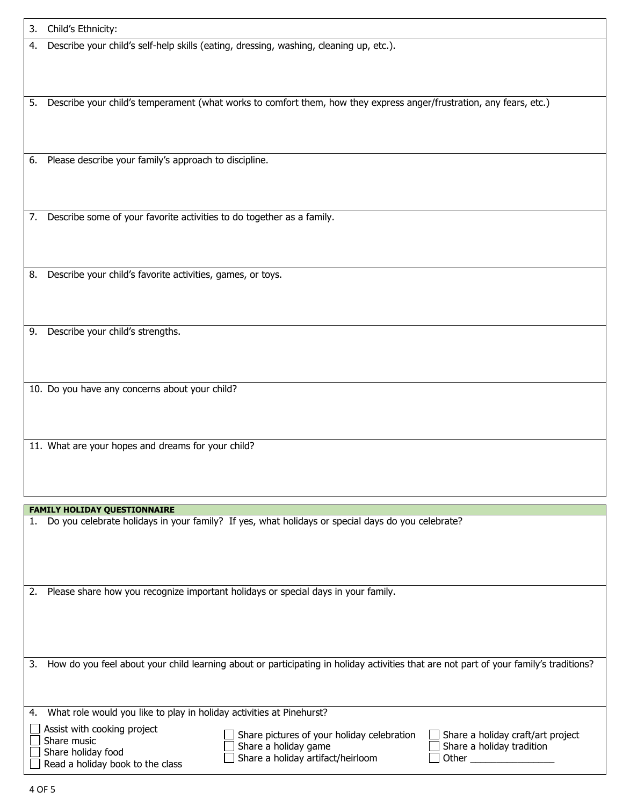| Describe your child's self-help skills (eating, dressing, washing, cleaning up, etc.).<br>4.<br>Describe your child's temperament (what works to comfort them, how they express anger/frustration, any fears, etc.)<br>5.<br>Please describe your family's approach to discipline.<br>6.<br>Describe some of your favorite activities to do together as a family.<br>7.<br>Describe your child's favorite activities, games, or toys.<br>8.<br>Describe your child's strengths.<br>9.<br>10. Do you have any concerns about your child?<br>11. What are your hopes and dreams for your child? | 3. | Child's Ethnicity: |
|-----------------------------------------------------------------------------------------------------------------------------------------------------------------------------------------------------------------------------------------------------------------------------------------------------------------------------------------------------------------------------------------------------------------------------------------------------------------------------------------------------------------------------------------------------------------------------------------------|----|--------------------|
|                                                                                                                                                                                                                                                                                                                                                                                                                                                                                                                                                                                               |    |                    |
|                                                                                                                                                                                                                                                                                                                                                                                                                                                                                                                                                                                               |    |                    |
|                                                                                                                                                                                                                                                                                                                                                                                                                                                                                                                                                                                               |    |                    |
|                                                                                                                                                                                                                                                                                                                                                                                                                                                                                                                                                                                               |    |                    |
|                                                                                                                                                                                                                                                                                                                                                                                                                                                                                                                                                                                               |    |                    |
|                                                                                                                                                                                                                                                                                                                                                                                                                                                                                                                                                                                               |    |                    |
|                                                                                                                                                                                                                                                                                                                                                                                                                                                                                                                                                                                               |    |                    |
|                                                                                                                                                                                                                                                                                                                                                                                                                                                                                                                                                                                               |    |                    |
| <b>FAMILY HOLIDAY QUESTIONNAIRE</b>                                                                                                                                                                                                                                                                                                                                                                                                                                                                                                                                                           |    |                    |

2. Please share how you recognize important holidays or special days in your family.

3. How do you feel about your child learning about or participating in holiday activities that are not part of your family's traditions?

| 4. What role would you like to play in holiday activities at Pinehurst?                              |                                                                                                         |                                                                           |
|------------------------------------------------------------------------------------------------------|---------------------------------------------------------------------------------------------------------|---------------------------------------------------------------------------|
| Assist with cooking project<br>Share music<br>Share holiday food<br>Read a holiday book to the class | Share pictures of your holiday celebration<br>Share a holiday game<br>Share a holiday artifact/heirloom | Share a holiday craft/art project<br>Share a holiday tradition<br>l Other |